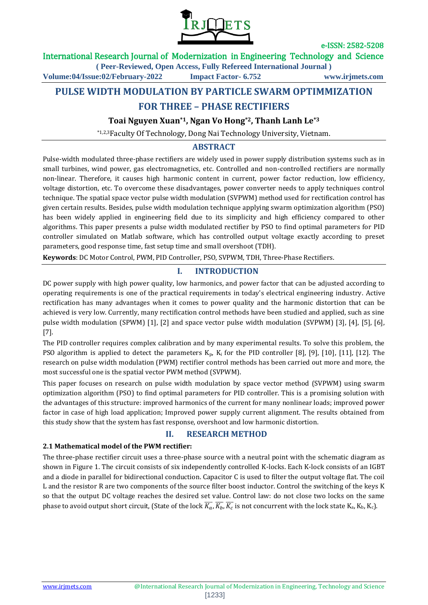

### International Research Journal of Modernization in Engineering Technology and Science

**( Peer-Reviewed, Open Access, Fully Refereed International Journal )**

**Volume:04/Issue:02/February-2022 Impact Factor- 6.752 www.irjmets.com**

# **PULSE WIDTH MODULATION BY PARTICLE SWARM OPTIMMIZATION**

# **FOR THREE – PHASE RECTIFIERS**

### **Toai Nguyen Xuan\*1, Ngan Vo Hong\*2, Thanh Lanh Le\*3**

\*1,2,3Faculty Of Technology, Dong Nai Technology University, Vietnam.

### **ABSTRACT**

Pulse-width modulated three-phase rectifiers are widely used in power supply distribution systems such as in small turbines, wind power, gas electromagnetics, etc. Controlled and non-controlled rectifiers are normally non-linear. Therefore, it causes high harmonic content in current, power factor reduction, low efficiency, voltage distortion, etc. To overcome these disadvantages, power converter needs to apply techniques control technique. The spatial space vector pulse width modulation (SVPWM) method used for rectification control has given certain results. Besides, pulse width modulation technique applying swarm optimization algorithm (PSO) has been widely applied in engineering field due to its simplicity and high efficiency compared to other algorithms. This paper presents a pulse width modulated rectifier by PSO to find optimal parameters for PID controller simulated on Matlab software, which has controlled output voltage exactly according to preset parameters, good response time, fast setup time and small overshoot (TDH).

**Keywords**: DC Motor Control, PWM, PID Controller, PSO, SVPWM, TDH, Three-Phase Rectifiers.

### **I. INTRODUCTION**

DC power supply with high power quality, low harmonics, and power factor that can be adjusted according to operating requirements is one of the practical requirements in today's electrical engineering industry. Active rectification has many advantages when it comes to power quality and the harmonic distortion that can be achieved is very low. Currently, many rectification control methods have been studied and applied, such as sine pulse width modulation (SPWM) [1], [2] and space vector pulse width modulation (SVPWM) [3], [4], [5], [6], [7].

The PID controller requires complex calibration and by many experimental results. To solve this problem, the PSO algorithm is applied to detect the parameters  $K_p$ ,  $K_i$  for the PID controller [8], [9], [10], [11], [12]. The research on pulse width modulation (PWM) rectifier control methods has been carried out more and more, the most successful one is the spatial vector PWM method (SVPWM).

This paper focuses on research on pulse width modulation by space vector method (SVPWM) using swarm optimization algorithm (PSO) to find optimal parameters for PID controller. This is a promising solution with the advantages of this structure: improved harmonics of the current for many nonlinear loads; improved power factor in case of high load application; Improved power supply current alignment. The results obtained from this study show that the system has fast response, overshoot and low harmonic distortion.

#### **II. RESEARCH METHOD**

#### **2.1 Mathematical model of the PWM rectifier:**

The three-phase rectifier circuit uses a three-phase source with a neutral point with the schematic diagram as shown in Figure 1. The circuit consists of six independently controlled K-locks. Each K-lock consists of an IGBT and a diode in parallel for bidirectional conduction. Capacitor C is used to filter the output voltage flat. The coil L and the resistor R are two components of the source filter boost inductor. Control the switching of the keys K so that the output DC voltage reaches the desired set value. Control law: do not close two locks on the same phase to avoid output short circuit, (State of the lock  $\overline{K_a}$ ,  $\overline{K_b}$ ,  $\overline{K_c}$  is not concurrent with the lock state  $K_a$ ,  $K_b$ ,  $K_c$ ).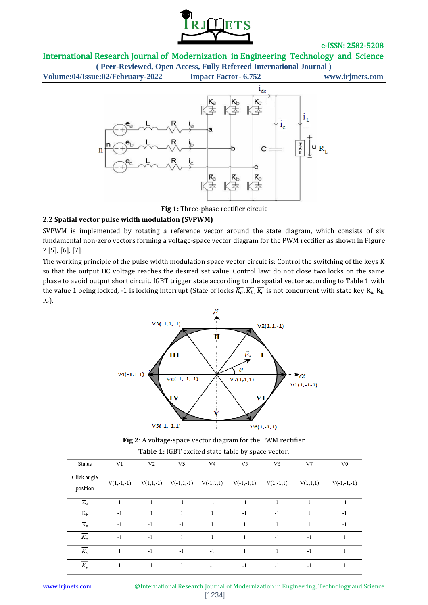

# International Research Journal of Modernization in Engineering Technology and Science

**( Peer-Reviewed, Open Access, Fully Refereed International Journal ) Volume:04/Issue:02/February-2022 Impact Factor- 6.752 www.irjmets.com**



**Fig 1:** Three-phase rectifier circuit

#### **2.2 Spatial vector pulse width modulation (SVPWM)**

SVPWM is implemented by rotating a reference vector around the state diagram, which consists of six fundamental non-zero vectors forming a voltage-space vector diagram for the PWM rectifier as shown in Figure 2 [5], [6], [7].

The working principle of the pulse width modulation space vector circuit is: Control the switching of the keys K so that the output DC voltage reaches the desired set value. Control law: do not close two locks on the same phase to avoid output short circuit. IGBT trigger state according to the spatial vector according to Table 1 with the value 1 being locked, -1 is locking interrupt (State of locks  $\overline{K_a}$ ,  $\overline{K_b}$ ,  $\overline{K_c}$  is not concurrent with state key  $K_a$ ,  $K_b$ ,  $K_c$ ).



**Fig 2**: A voltage-space vector diagram for the PWM rectifier **Table 1:** IGBT excited state table by space vector.

| Status                  | V1           | V <sub>2</sub> | V <sub>3</sub> | V4           | V5           | V6          | V7       | $_{\rm V0}$   |
|-------------------------|--------------|----------------|----------------|--------------|--------------|-------------|----------|---------------|
| Click angle<br>position | $V(1,-1,-1)$ | $V(1,1,-1)$    | $V(-1,1,-1)$   | $V(-1,1,1)$  | $V(-1,-1,1)$ | $V(1,-1,1)$ | V(1,1,1) | $V(-1,-1,-1)$ |
| $K_a$                   |              |                | $-1$           | $-1$         | $-1$         |             |          | $-1$          |
| $K_b$                   | $-1$         | 1              |                | 1            | $-1$         | $-1$        |          | $-1$          |
| $K_c$                   | $-1$         | $-1$           | $-1$           | 1            | 1            |             |          | $-1$          |
| $\overline{K_a}$        | $-1$         | $-1$           | 1              | $\mathbf{1}$ | 1            | $-1$        | $-1$     | $\mathbf{1}$  |
| $\overline{K_b}$        |              | $-1$           | $-1$           | $-1$         | 1            | 1.          | $-1$     |               |
| $\overline{K_c}$        |              | 1              |                | $-1$         | $-1$         | $-1$        | $-1$     |               |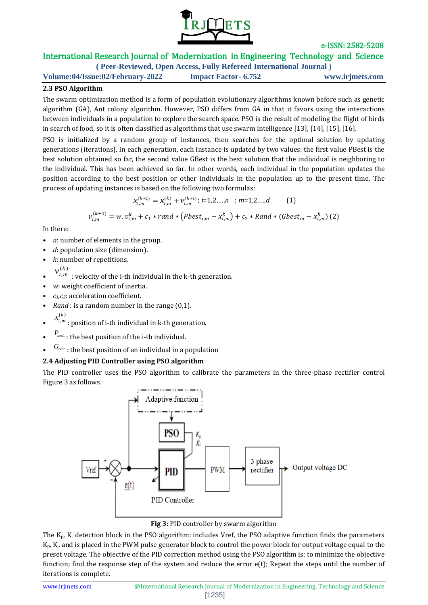

# International Research Journal of Modernization in Engineering Technology and Science

**( Peer-Reviewed, Open Access, Fully Refereed International Journal )**

**Volume:04/Issue:02/February-2022 Impact Factor- 6.752 www.irjmets.com**

#### **2.3 PSO Algorithm**

The swarm optimization method is a form of population evolutionary algorithms known before such as genetic algorithm (GA), Ant colony algorithm. However, PSO differs from GA in that it favors using the interactions between individuals in a population to explore the search space. PSO is the result of modeling the flight of birds in search of food, so it is often classified as algorithms that use swarm intelligence [13], [14], [15], [16].

PSO is initialized by a random group of instances, then searches for the optimal solution by updating generations (iterations). In each generation, each instance is updated by two values: the first value PBest is the best solution obtained so far, the second value GBest is the best solution that the individual is neighboring to the individual. This has been achieved so far. In other words, each individual in the population updates the position according to the best position or other individuals in the population up to the present time. The process of updating instances is based on the following two formulas:

$$
x_{i,m}^{(k+1)} = x_{i,m}^{(k)} + v_{i,m}^{(k+1)}; i=1,2,...,n \quad ; m=1,2,...,d \qquad (1)
$$

$$
v_{i,m}^{(k+1)} = w \cdot v_{i,m}^k + c_1 * rand * (Pbest_{i,m} - x_{i,m}^k) + c_2 * Rand * (Gbest_m - x_{i,m}^k) (2)
$$

In there:

- *n*: number of elements in the group.
- d: population size (dimension).
- *k*: number of repetitions.
- $(k)$
- ,  $v_{i,m}^{(k)}$  *v v*elocity of the i-th individual in the k-th generation.
- w: weight coefficient of inertia.
- *c1,c2*: acceleration coefficient.
- *Rand* : is a random number in the range (0,1).
- $(k)$ ,  $x_{i,m}^{(k)}$  : position of i-th individual in k-th generation.
- $P_{best_i}$ : the best position of the i-th individual.
- $\bullet$  *G*<sub>best<sub>i</sub></sup>: the best position of an individual in a population</sub>

#### **2.4 Adjusting PID Controller using PSO algorithm**

The PID controller uses the PSO algorithm to calibrate the parameters in the three-phase rectifier control Figure 3 as follows.



**Fig 3:** PID controller by swarm algorithm

The  $K_p$ ,  $K_i$  detection block in the PSO algorithm: includes Vref, the PSO adaptive function finds the parameters  $K_p$ ,  $K_i$ , and is placed in the PWM pulse generator block to control the power block for output voltage equal to the preset voltage. The objective of the PID correction method using the PSO algorithm is: to minimize the objective function; find the response step of the system and reduce the error e(t); Repeat the steps until the number of iterations is complete.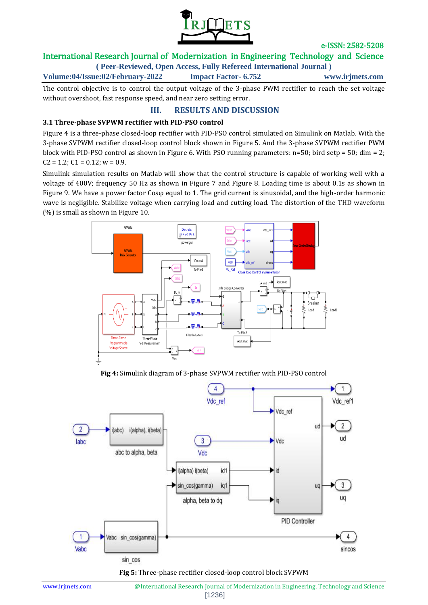

### International Research Journal of Modernization in Engineering Technology and Science

**( Peer-Reviewed, Open Access, Fully Refereed International Journal ) Volume:04/Issue:02/February-2022 Impact Factor- 6.752 www.irjmets.com**

The control objective is to control the output voltage of the 3-phase PWM rectifier to reach the set voltage without overshoot, fast response speed, and near zero setting error.

#### **III. RESULTS AND DISCUSSION**

#### **3.1 Three-phase SVPWM rectifier with PID-PSO control**

Figure 4 is a three-phase closed-loop rectifier with PID-PSO control simulated on Simulink on Matlab. With the 3-phase SVPWM rectifier closed-loop control block shown in Figure 5. And the 3-phase SVPWM rectifier PWM block with PID-PSO control as shown in Figure 6. With PSO running parameters: n=50; bird setp = 50; dim = 2;  $C2 = 1.2$ ;  $C1 = 0.12$ ;  $w = 0.9$ .

Simulink simulation results on Matlab will show that the control structure is capable of working well with a voltage of 400V; frequency 50 Hz as shown in Figure 7 and Figure 8. Loading time is about 0.1s as shown in Figure 9. We have a power factor Cosφ equal to 1. The grid current is sinusoidal, and the high-order harmonic wave is negligible. Stabilize voltage when carrying load and cutting load. The distortion of the THD waveform (%) is small as shown in Figure 10.



**Fig 4:** Simulink diagram of 3-phase SVPWM rectifier with PID-PSO control



**Fig 5:** Three-phase rectifier closed-loop control block SVPWM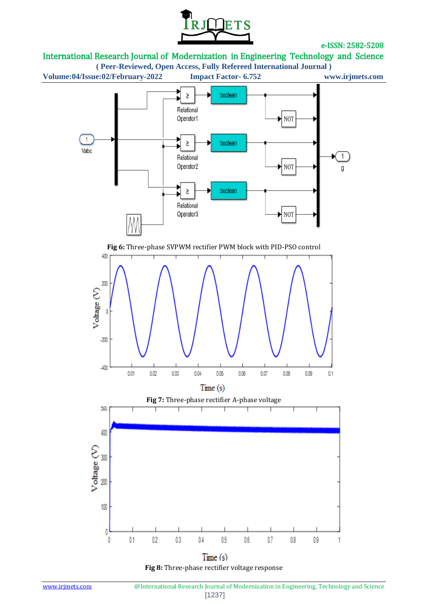





**Fig 8:** Three-phase rectifier voltage response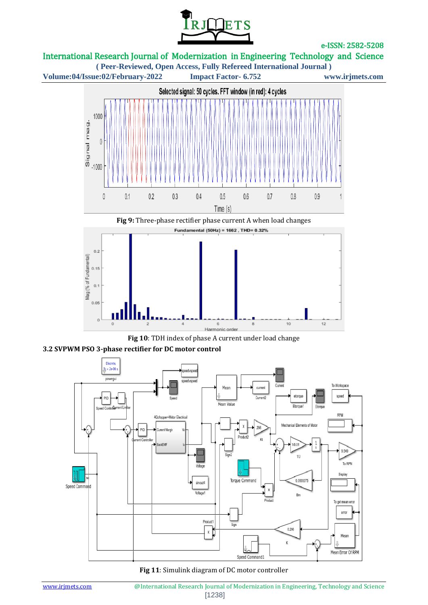



**Fig 10**: TDH index of phase A current under load change

6

Harmonic order

8

10

 $12$ 

**3.2 SVPWM PSO 3-phase rectifier for DC motor control**

 $\circ$ 

 $\circ$ 



**Fig 11**: Simulink diagram of DC motor controller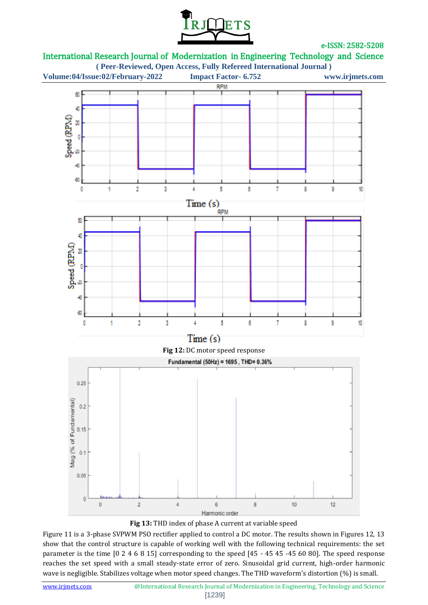







Figure 11 is a 3-phase SVPWM PSO rectifier applied to control a DC motor. The results shown in Figures 12, 13 show that the control structure is capable of working well with the following technical requirements: the set parameter is the time [0 2 4 6 8 15] corresponding to the speed [45 - 45 45 -45 60 80]. The speed response reaches the set speed with a small steady-state error of zero. Sinusoidal grid current, high-order harmonic wave is negligible. Stabilizes voltage when motor speed changes. The THD waveform's distortion (%) is small.